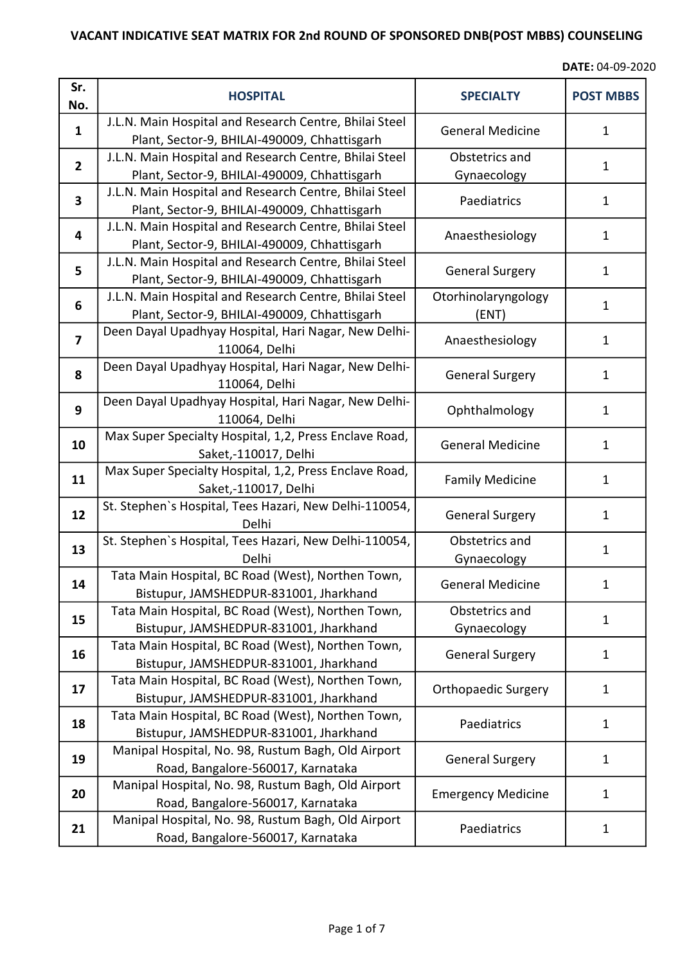| Sr.<br>No.              | <b>HOSPITAL</b>                                                                                        | <b>SPECIALTY</b>              | <b>POST MBBS</b> |
|-------------------------|--------------------------------------------------------------------------------------------------------|-------------------------------|------------------|
| $\mathbf{1}$            | J.L.N. Main Hospital and Research Centre, Bhilai Steel<br>Plant, Sector-9, BHILAI-490009, Chhattisgarh | <b>General Medicine</b>       | 1                |
| $\overline{2}$          | J.L.N. Main Hospital and Research Centre, Bhilai Steel<br>Plant, Sector-9, BHILAI-490009, Chhattisgarh | Obstetrics and<br>Gynaecology | $\mathbf{1}$     |
| $\overline{\mathbf{3}}$ | J.L.N. Main Hospital and Research Centre, Bhilai Steel<br>Plant, Sector-9, BHILAI-490009, Chhattisgarh | Paediatrics                   | 1                |
| $\overline{\mathbf{4}}$ | J.L.N. Main Hospital and Research Centre, Bhilai Steel<br>Plant, Sector-9, BHILAI-490009, Chhattisgarh | Anaesthesiology               | 1                |
| 5                       | J.L.N. Main Hospital and Research Centre, Bhilai Steel<br>Plant, Sector-9, BHILAI-490009, Chhattisgarh | <b>General Surgery</b>        | $\mathbf{1}$     |
| 6                       | J.L.N. Main Hospital and Research Centre, Bhilai Steel<br>Plant, Sector-9, BHILAI-490009, Chhattisgarh | Otorhinolaryngology<br>(ENT)  | $\mathbf{1}$     |
| $\overline{\mathbf{z}}$ | Deen Dayal Upadhyay Hospital, Hari Nagar, New Delhi-<br>110064, Delhi                                  | Anaesthesiology               | $\mathbf{1}$     |
| 8                       | Deen Dayal Upadhyay Hospital, Hari Nagar, New Delhi-<br>110064, Delhi                                  | <b>General Surgery</b>        | $\mathbf{1}$     |
| 9                       | Deen Dayal Upadhyay Hospital, Hari Nagar, New Delhi-<br>110064, Delhi                                  | Ophthalmology                 | $\mathbf{1}$     |
| 10                      | Max Super Specialty Hospital, 1,2, Press Enclave Road,<br>Saket,-110017, Delhi                         | <b>General Medicine</b>       | $\mathbf{1}$     |
| 11                      | Max Super Specialty Hospital, 1,2, Press Enclave Road,<br>Saket,-110017, Delhi                         | <b>Family Medicine</b>        | $\mathbf{1}$     |
| 12                      | St. Stephen's Hospital, Tees Hazari, New Delhi-110054,<br>Delhi                                        | <b>General Surgery</b>        | $\mathbf{1}$     |
| 13                      | St. Stephen's Hospital, Tees Hazari, New Delhi-110054,<br>Delhi                                        | Obstetrics and<br>Gynaecology | $\mathbf{1}$     |
| 14                      | Tata Main Hospital, BC Road (West), Northen Town,<br>Bistupur, JAMSHEDPUR-831001, Jharkhand            | <b>General Medicine</b>       | 1                |
| 15                      | Tata Main Hospital, BC Road (West), Northen Town,<br>Bistupur, JAMSHEDPUR-831001, Jharkhand            | Obstetrics and<br>Gynaecology | $\mathbf{1}$     |
| 16                      | Tata Main Hospital, BC Road (West), Northen Town,<br>Bistupur, JAMSHEDPUR-831001, Jharkhand            | <b>General Surgery</b>        | $\mathbf{1}$     |
| 17                      | Tata Main Hospital, BC Road (West), Northen Town,<br>Bistupur, JAMSHEDPUR-831001, Jharkhand            | <b>Orthopaedic Surgery</b>    | $\mathbf{1}$     |
| 18                      | Tata Main Hospital, BC Road (West), Northen Town,<br>Bistupur, JAMSHEDPUR-831001, Jharkhand            | Paediatrics                   | $\mathbf{1}$     |
| 19                      | Manipal Hospital, No. 98, Rustum Bagh, Old Airport<br>Road, Bangalore-560017, Karnataka                | <b>General Surgery</b>        | $\mathbf{1}$     |
| 20                      | Manipal Hospital, No. 98, Rustum Bagh, Old Airport<br>Road, Bangalore-560017, Karnataka                | <b>Emergency Medicine</b>     | $\mathbf{1}$     |
| 21                      | Manipal Hospital, No. 98, Rustum Bagh, Old Airport<br>Road, Bangalore-560017, Karnataka                | Paediatrics                   | $\mathbf{1}$     |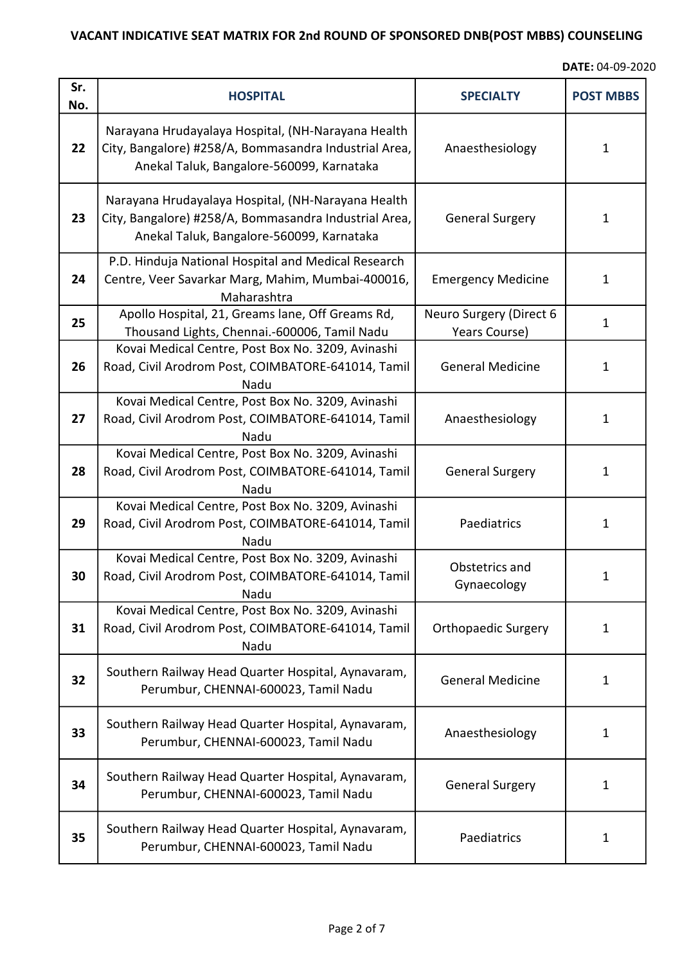| Sr.<br>No. | <b>HOSPITAL</b>                                                                                                                                          | <b>SPECIALTY</b>                         | <b>POST MBBS</b> |
|------------|----------------------------------------------------------------------------------------------------------------------------------------------------------|------------------------------------------|------------------|
| 22         | Narayana Hrudayalaya Hospital, (NH-Narayana Health<br>City, Bangalore) #258/A, Bommasandra Industrial Area,<br>Anekal Taluk, Bangalore-560099, Karnataka | Anaesthesiology                          | $\mathbf{1}$     |
| 23         | Narayana Hrudayalaya Hospital, (NH-Narayana Health<br>City, Bangalore) #258/A, Bommasandra Industrial Area,<br>Anekal Taluk, Bangalore-560099, Karnataka | <b>General Surgery</b>                   | $\mathbf{1}$     |
| 24         | P.D. Hinduja National Hospital and Medical Research<br>Centre, Veer Savarkar Marg, Mahim, Mumbai-400016,<br>Maharashtra                                  | <b>Emergency Medicine</b>                | $\mathbf{1}$     |
| 25         | Apollo Hospital, 21, Greams lane, Off Greams Rd,<br>Thousand Lights, Chennai.-600006, Tamil Nadu                                                         | Neuro Surgery (Direct 6<br>Years Course) | $\mathbf{1}$     |
| 26         | Kovai Medical Centre, Post Box No. 3209, Avinashi<br>Road, Civil Arodrom Post, COIMBATORE-641014, Tamil<br>Nadu                                          | <b>General Medicine</b>                  | 1                |
| 27         | Kovai Medical Centre, Post Box No. 3209, Avinashi<br>Road, Civil Arodrom Post, COIMBATORE-641014, Tamil<br>Nadu                                          | Anaesthesiology                          | 1                |
| 28         | Kovai Medical Centre, Post Box No. 3209, Avinashi<br>Road, Civil Arodrom Post, COIMBATORE-641014, Tamil<br>Nadu                                          | <b>General Surgery</b>                   | 1                |
| 29         | Kovai Medical Centre, Post Box No. 3209, Avinashi<br>Road, Civil Arodrom Post, COIMBATORE-641014, Tamil<br>Nadu                                          | Paediatrics                              | 1                |
| 30         | Kovai Medical Centre, Post Box No. 3209, Avinashi<br>Road, Civil Arodrom Post, COIMBATORE-641014, Tamil<br>Nadu                                          | Obstetrics and<br>Gynaecology            | 1                |
| 31         | Kovai Medical Centre, Post Box No. 3209, Avinashi<br>Road, Civil Arodrom Post, COIMBATORE-641014, Tamil<br>Nadu                                          | <b>Orthopaedic Surgery</b>               | 1                |
| 32         | Southern Railway Head Quarter Hospital, Aynavaram,<br>Perumbur, CHENNAI-600023, Tamil Nadu                                                               | <b>General Medicine</b>                  | 1                |
| 33         | Southern Railway Head Quarter Hospital, Aynavaram,<br>Perumbur, CHENNAI-600023, Tamil Nadu                                                               | Anaesthesiology                          | $\mathbf{1}$     |
| 34         | Southern Railway Head Quarter Hospital, Aynavaram,<br>Perumbur, CHENNAI-600023, Tamil Nadu                                                               | <b>General Surgery</b>                   | 1                |
| 35         | Southern Railway Head Quarter Hospital, Aynavaram,<br>Perumbur, CHENNAI-600023, Tamil Nadu                                                               | Paediatrics                              | 1                |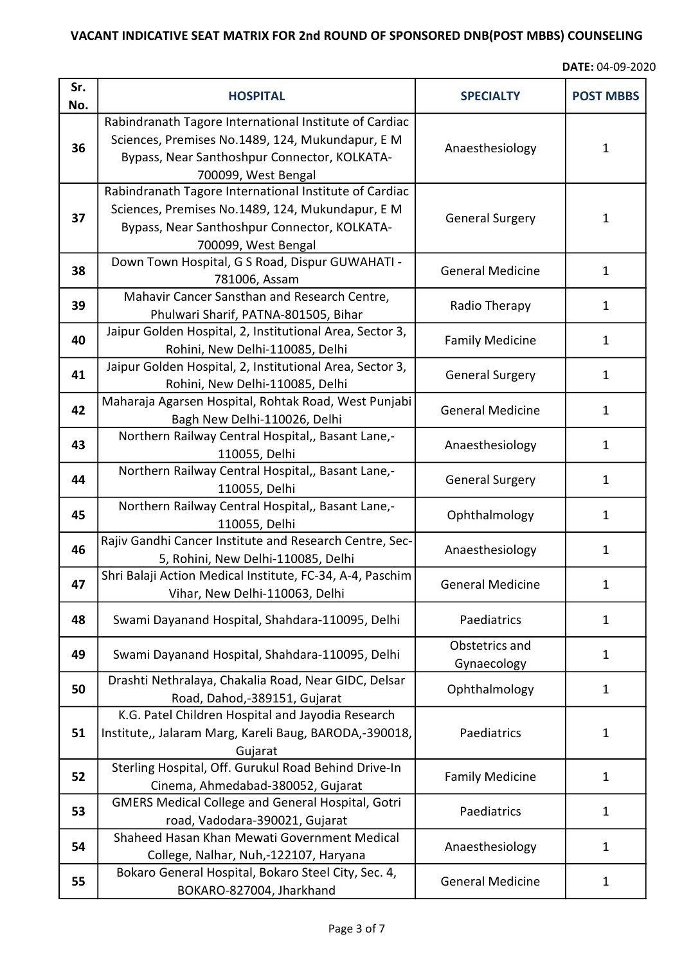| Sr.<br>No. | <b>HOSPITAL</b>                                                                                                                                                                   | <b>SPECIALTY</b>              | <b>POST MBBS</b> |
|------------|-----------------------------------------------------------------------------------------------------------------------------------------------------------------------------------|-------------------------------|------------------|
| 36         | Rabindranath Tagore International Institute of Cardiac<br>Sciences, Premises No.1489, 124, Mukundapur, E M<br>Bypass, Near Santhoshpur Connector, KOLKATA-<br>700099, West Bengal | Anaesthesiology               | $\mathbf{1}$     |
| 37         | Rabindranath Tagore International Institute of Cardiac<br>Sciences, Premises No.1489, 124, Mukundapur, E M<br>Bypass, Near Santhoshpur Connector, KOLKATA-<br>700099, West Bengal | <b>General Surgery</b>        | $\mathbf{1}$     |
| 38         | Down Town Hospital, G S Road, Dispur GUWAHATI -<br>781006, Assam                                                                                                                  | <b>General Medicine</b>       | $\mathbf{1}$     |
| 39         | Mahavir Cancer Sansthan and Research Centre,<br>Phulwari Sharif, PATNA-801505, Bihar                                                                                              | Radio Therapy                 | $\mathbf{1}$     |
| 40         | Jaipur Golden Hospital, 2, Institutional Area, Sector 3,<br>Rohini, New Delhi-110085, Delhi                                                                                       | <b>Family Medicine</b>        | $\mathbf{1}$     |
| 41         | Jaipur Golden Hospital, 2, Institutional Area, Sector 3,<br>Rohini, New Delhi-110085, Delhi                                                                                       | <b>General Surgery</b>        | $\mathbf{1}$     |
| 42         | Maharaja Agarsen Hospital, Rohtak Road, West Punjabi<br>Bagh New Delhi-110026, Delhi                                                                                              | <b>General Medicine</b>       | $\mathbf{1}$     |
| 43         | Northern Railway Central Hospital,, Basant Lane,-<br>110055, Delhi                                                                                                                | Anaesthesiology               | $\mathbf{1}$     |
| 44         | Northern Railway Central Hospital,, Basant Lane,-<br>110055, Delhi                                                                                                                | <b>General Surgery</b>        | $\mathbf{1}$     |
| 45         | Northern Railway Central Hospital,, Basant Lane,-<br>110055, Delhi                                                                                                                | Ophthalmology                 | $\mathbf{1}$     |
| 46         | Rajiv Gandhi Cancer Institute and Research Centre, Sec-<br>5, Rohini, New Delhi-110085, Delhi                                                                                     | Anaesthesiology               | 1                |
| 47         | Shri Balaji Action Medical Institute, FC-34, A-4, Paschim<br>Vihar, New Delhi-110063, Delhi                                                                                       | <b>General Medicine</b>       | 1                |
| 48         | Swami Dayanand Hospital, Shahdara-110095, Delhi                                                                                                                                   | Paediatrics                   | $\mathbf{1}$     |
| 49         | Swami Dayanand Hospital, Shahdara-110095, Delhi                                                                                                                                   | Obstetrics and<br>Gynaecology | $\mathbf{1}$     |
| 50         | Drashti Nethralaya, Chakalia Road, Near GIDC, Delsar<br>Road, Dahod, -389151, Gujarat                                                                                             | Ophthalmology                 | 1                |
| 51         | K.G. Patel Children Hospital and Jayodia Research<br>Institute,, Jalaram Marg, Kareli Baug, BARODA,-390018,<br>Gujarat                                                            | Paediatrics                   | $\mathbf{1}$     |
| 52         | Sterling Hospital, Off. Gurukul Road Behind Drive-In<br>Cinema, Ahmedabad-380052, Gujarat                                                                                         | <b>Family Medicine</b>        | $\mathbf{1}$     |
| 53         | <b>GMERS Medical College and General Hospital, Gotri</b><br>road, Vadodara-390021, Gujarat                                                                                        | Paediatrics                   | 1                |
| 54         | Shaheed Hasan Khan Mewati Government Medical<br>College, Nalhar, Nuh,-122107, Haryana                                                                                             | Anaesthesiology               | 1                |
| 55         | Bokaro General Hospital, Bokaro Steel City, Sec. 4,<br>BOKARO-827004, Jharkhand                                                                                                   | <b>General Medicine</b>       | 1                |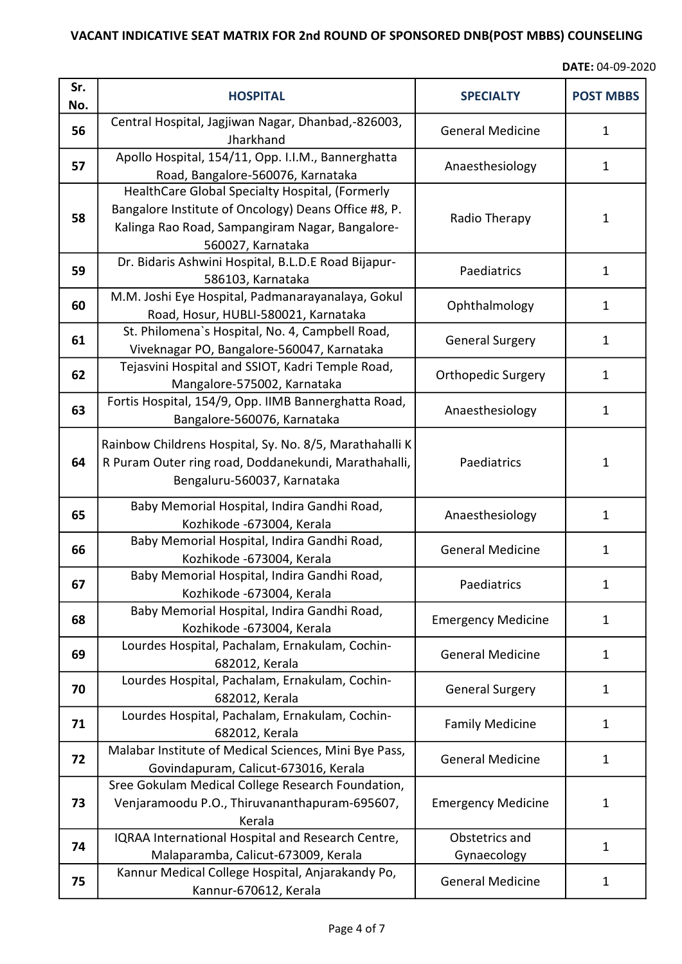| Sr.<br>No. | <b>HOSPITAL</b>                                                                                                                                                                 | <b>SPECIALTY</b>              | <b>POST MBBS</b> |
|------------|---------------------------------------------------------------------------------------------------------------------------------------------------------------------------------|-------------------------------|------------------|
| 56         | Central Hospital, Jagjiwan Nagar, Dhanbad,-826003,<br>Jharkhand                                                                                                                 | <b>General Medicine</b>       | 1                |
| 57         | Apollo Hospital, 154/11, Opp. I.I.M., Bannerghatta<br>Road, Bangalore-560076, Karnataka                                                                                         | Anaesthesiology               | 1                |
| 58         | HealthCare Global Specialty Hospital, (Formerly<br>Bangalore Institute of Oncology) Deans Office #8, P.<br>Kalinga Rao Road, Sampangiram Nagar, Bangalore-<br>560027, Karnataka | Radio Therapy                 | $\mathbf{1}$     |
| 59         | Dr. Bidaris Ashwini Hospital, B.L.D.E Road Bijapur-<br>586103, Karnataka                                                                                                        | Paediatrics                   | $\mathbf{1}$     |
| 60         | M.M. Joshi Eye Hospital, Padmanarayanalaya, Gokul<br>Road, Hosur, HUBLI-580021, Karnataka                                                                                       | Ophthalmology                 | 1                |
| 61         | St. Philomena's Hospital, No. 4, Campbell Road,<br>Viveknagar PO, Bangalore-560047, Karnataka                                                                                   | <b>General Surgery</b>        | $\mathbf{1}$     |
| 62         | Tejasvini Hospital and SSIOT, Kadri Temple Road,<br>Mangalore-575002, Karnataka                                                                                                 | <b>Orthopedic Surgery</b>     | $\mathbf{1}$     |
| 63         | Fortis Hospital, 154/9, Opp. IIMB Bannerghatta Road,<br>Bangalore-560076, Karnataka                                                                                             | Anaesthesiology               | $\mathbf{1}$     |
| 64         | Rainbow Childrens Hospital, Sy. No. 8/5, Marathahalli K<br>R Puram Outer ring road, Doddanekundi, Marathahalli,<br>Bengaluru-560037, Karnataka                                  | Paediatrics                   | $\mathbf 1$      |
| 65         | Baby Memorial Hospital, Indira Gandhi Road,<br>Kozhikode -673004, Kerala                                                                                                        | Anaesthesiology               | 1                |
| 66         | Baby Memorial Hospital, Indira Gandhi Road,<br>Kozhikode -673004, Kerala                                                                                                        | <b>General Medicine</b>       | $\mathbf{1}$     |
| 67         | Baby Memorial Hospital, Indira Gandhi Road,<br>Kozhikode -673004, Kerala                                                                                                        | Paediatrics                   | 1                |
| 68         | Baby Memorial Hospital, Indira Gandhi Road,<br>Kozhikode -673004, Kerala                                                                                                        | <b>Emergency Medicine</b>     | $\mathbf{1}$     |
| 69         | Lourdes Hospital, Pachalam, Ernakulam, Cochin-<br>682012, Kerala                                                                                                                | <b>General Medicine</b>       | 1                |
| 70         | Lourdes Hospital, Pachalam, Ernakulam, Cochin-<br>682012, Kerala                                                                                                                | <b>General Surgery</b>        | $\mathbf{1}$     |
| 71         | Lourdes Hospital, Pachalam, Ernakulam, Cochin-<br>682012, Kerala                                                                                                                | <b>Family Medicine</b>        | 1                |
| 72         | Malabar Institute of Medical Sciences, Mini Bye Pass,<br>Govindapuram, Calicut-673016, Kerala                                                                                   | <b>General Medicine</b>       | $\mathbf{1}$     |
| 73         | Sree Gokulam Medical College Research Foundation,<br>Venjaramoodu P.O., Thiruvananthapuram-695607,<br>Kerala                                                                    | <b>Emergency Medicine</b>     | $\mathbf 1$      |
| 74         | IQRAA International Hospital and Research Centre,<br>Malaparamba, Calicut-673009, Kerala                                                                                        | Obstetrics and<br>Gynaecology | $\mathbf{1}$     |
| 75         | Kannur Medical College Hospital, Anjarakandy Po,<br>Kannur-670612, Kerala                                                                                                       | <b>General Medicine</b>       | 1                |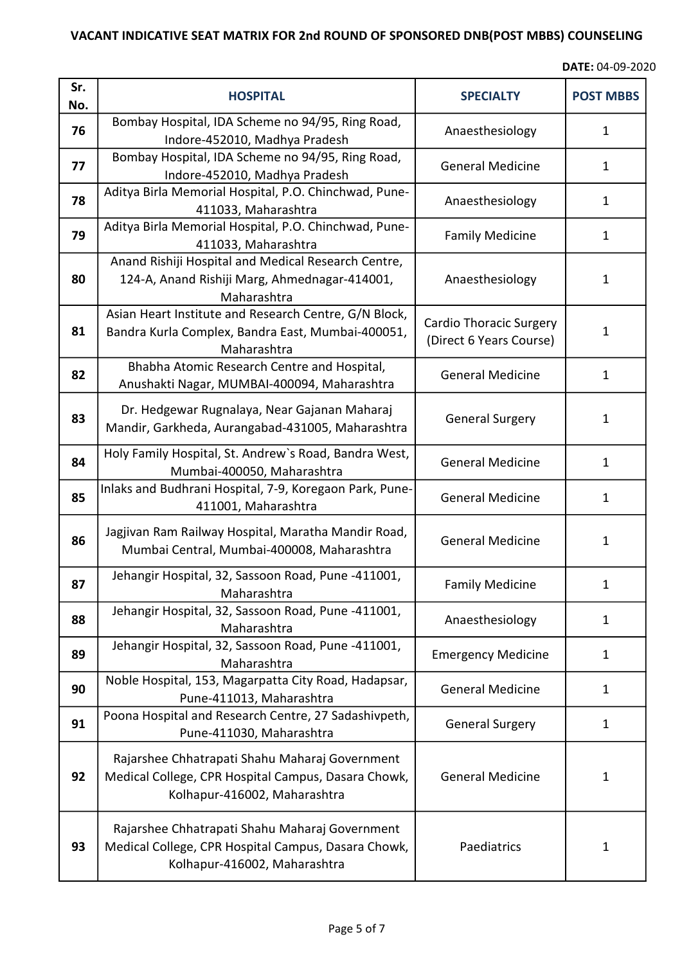| Sr.<br>No. | <b>HOSPITAL</b>                                                                                                                       | <b>SPECIALTY</b>                                          | <b>POST MBBS</b> |
|------------|---------------------------------------------------------------------------------------------------------------------------------------|-----------------------------------------------------------|------------------|
| 76         | Bombay Hospital, IDA Scheme no 94/95, Ring Road,<br>Indore-452010, Madhya Pradesh                                                     | Anaesthesiology                                           | 1                |
| 77         | Bombay Hospital, IDA Scheme no 94/95, Ring Road,<br>Indore-452010, Madhya Pradesh                                                     | <b>General Medicine</b>                                   | 1                |
| 78         | Aditya Birla Memorial Hospital, P.O. Chinchwad, Pune-<br>411033, Maharashtra                                                          | Anaesthesiology                                           | 1                |
| 79         | Aditya Birla Memorial Hospital, P.O. Chinchwad, Pune-<br>411033, Maharashtra                                                          | <b>Family Medicine</b>                                    | 1                |
| 80         | Anand Rishiji Hospital and Medical Research Centre,<br>124-A, Anand Rishiji Marg, Ahmednagar-414001,<br>Maharashtra                   | Anaesthesiology                                           | 1                |
| 81         | Asian Heart Institute and Research Centre, G/N Block,<br>Bandra Kurla Complex, Bandra East, Mumbai-400051,<br>Maharashtra             | <b>Cardio Thoracic Surgery</b><br>(Direct 6 Years Course) | 1                |
| 82         | Bhabha Atomic Research Centre and Hospital,<br>Anushakti Nagar, MUMBAI-400094, Maharashtra                                            | <b>General Medicine</b>                                   | 1                |
| 83         | Dr. Hedgewar Rugnalaya, Near Gajanan Maharaj<br>Mandir, Garkheda, Aurangabad-431005, Maharashtra                                      | <b>General Surgery</b>                                    | $\mathbf{1}$     |
| 84         | Holy Family Hospital, St. Andrew's Road, Bandra West,<br>Mumbai-400050, Maharashtra                                                   | <b>General Medicine</b>                                   | $\mathbf{1}$     |
| 85         | Inlaks and Budhrani Hospital, 7-9, Koregaon Park, Pune-<br>411001, Maharashtra                                                        | <b>General Medicine</b>                                   | 1                |
| 86         | Jagjivan Ram Railway Hospital, Maratha Mandir Road,<br>Mumbai Central, Mumbai-400008, Maharashtra                                     | <b>General Medicine</b>                                   | $\mathbf 1$      |
| 87         | Jehangir Hospital, 32, Sassoon Road, Pune -411001,<br>Maharashtra                                                                     | <b>Family Medicine</b>                                    | 1                |
| 88         | Jehangir Hospital, 32, Sassoon Road, Pune -411001,<br>Maharashtra                                                                     | Anaesthesiology                                           | $\mathbf{1}$     |
| 89         | Jehangir Hospital, 32, Sassoon Road, Pune -411001,<br>Maharashtra                                                                     | <b>Emergency Medicine</b>                                 | 1                |
| 90         | Noble Hospital, 153, Magarpatta City Road, Hadapsar,<br>Pune-411013, Maharashtra                                                      | <b>General Medicine</b>                                   | $\mathbf{1}$     |
| 91         | Poona Hospital and Research Centre, 27 Sadashivpeth,<br>Pune-411030, Maharashtra                                                      | <b>General Surgery</b>                                    | $\mathbf{1}$     |
| 92         | Rajarshee Chhatrapati Shahu Maharaj Government<br>Medical College, CPR Hospital Campus, Dasara Chowk,<br>Kolhapur-416002, Maharashtra | <b>General Medicine</b>                                   | 1                |
| 93         | Rajarshee Chhatrapati Shahu Maharaj Government<br>Medical College, CPR Hospital Campus, Dasara Chowk,<br>Kolhapur-416002, Maharashtra | Paediatrics                                               | 1                |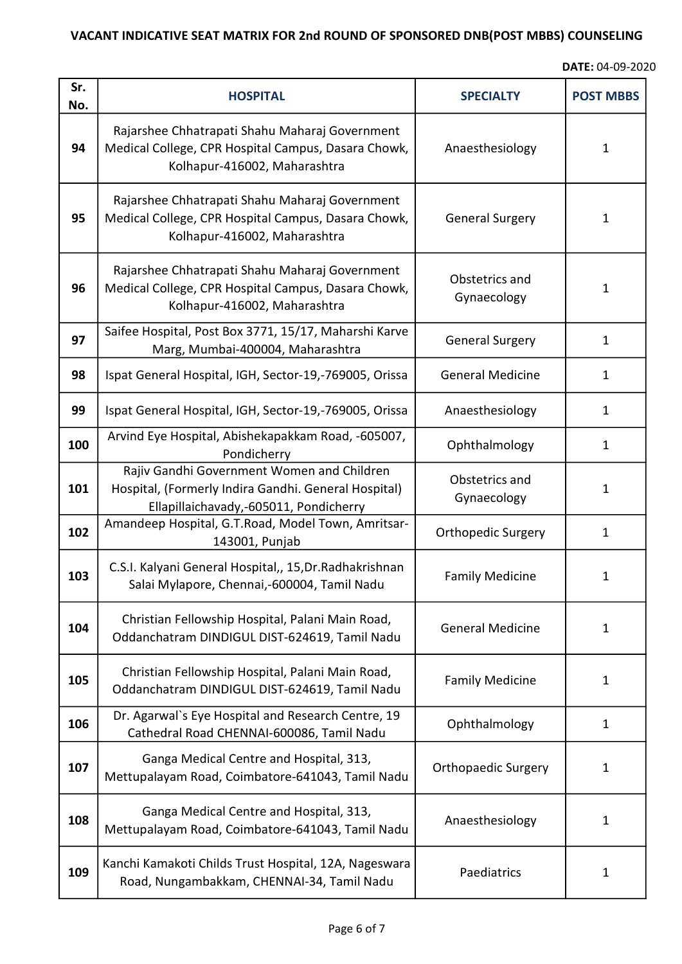| Sr.<br>No. | <b>HOSPITAL</b>                                                                                                                              | <b>SPECIALTY</b>              | <b>POST MBBS</b> |
|------------|----------------------------------------------------------------------------------------------------------------------------------------------|-------------------------------|------------------|
| 94         | Rajarshee Chhatrapati Shahu Maharaj Government<br>Medical College, CPR Hospital Campus, Dasara Chowk,<br>Kolhapur-416002, Maharashtra        | Anaesthesiology               | 1                |
| 95         | Rajarshee Chhatrapati Shahu Maharaj Government<br>Medical College, CPR Hospital Campus, Dasara Chowk,<br>Kolhapur-416002, Maharashtra        | <b>General Surgery</b>        | $\mathbf{1}$     |
| 96         | Rajarshee Chhatrapati Shahu Maharaj Government<br>Medical College, CPR Hospital Campus, Dasara Chowk,<br>Kolhapur-416002, Maharashtra        | Obstetrics and<br>Gynaecology | $\mathbf{1}$     |
| 97         | Saifee Hospital, Post Box 3771, 15/17, Maharshi Karve<br>Marg, Mumbai-400004, Maharashtra                                                    | <b>General Surgery</b>        | $\mathbf{1}$     |
| 98         | Ispat General Hospital, IGH, Sector-19,-769005, Orissa                                                                                       | <b>General Medicine</b>       | $\mathbf{1}$     |
| 99         | Ispat General Hospital, IGH, Sector-19,-769005, Orissa                                                                                       | Anaesthesiology               | $\mathbf{1}$     |
| 100        | Arvind Eye Hospital, Abishekapakkam Road, -605007,<br>Pondicherry                                                                            | Ophthalmology                 | $\mathbf{1}$     |
| 101        | Rajiv Gandhi Government Women and Children<br>Hospital, (Formerly Indira Gandhi. General Hospital)<br>Ellapillaichavady,-605011, Pondicherry | Obstetrics and<br>Gynaecology | $\mathbf{1}$     |
| 102        | Amandeep Hospital, G.T.Road, Model Town, Amritsar-<br>143001, Punjab                                                                         | <b>Orthopedic Surgery</b>     | $\mathbf{1}$     |
| 103        | C.S.I. Kalyani General Hospital,, 15, Dr. Radhakrishnan<br>Salai Mylapore, Chennai,-600004, Tamil Nadu                                       | <b>Family Medicine</b>        | $\mathbf{1}$     |
| 104        | Christian Fellowship Hospital, Palani Main Road,<br>Oddanchatram DINDIGUL DIST-624619, Tamil Nadu                                            | <b>General Medicine</b>       | 1                |
| 105        | Christian Fellowship Hospital, Palani Main Road,<br>Oddanchatram DINDIGUL DIST-624619, Tamil Nadu                                            | <b>Family Medicine</b>        | $\mathbf{1}$     |
| 106        | Dr. Agarwal's Eye Hospital and Research Centre, 19<br>Cathedral Road CHENNAI-600086, Tamil Nadu                                              | Ophthalmology                 | $\mathbf{1}$     |
| 107        | Ganga Medical Centre and Hospital, 313,<br>Mettupalayam Road, Coimbatore-641043, Tamil Nadu                                                  | <b>Orthopaedic Surgery</b>    | $\mathbf{1}$     |
| 108        | Ganga Medical Centre and Hospital, 313,<br>Mettupalayam Road, Coimbatore-641043, Tamil Nadu                                                  | Anaesthesiology               | 1                |
| 109        | Kanchi Kamakoti Childs Trust Hospital, 12A, Nageswara<br>Road, Nungambakkam, CHENNAI-34, Tamil Nadu                                          | Paediatrics                   | 1                |